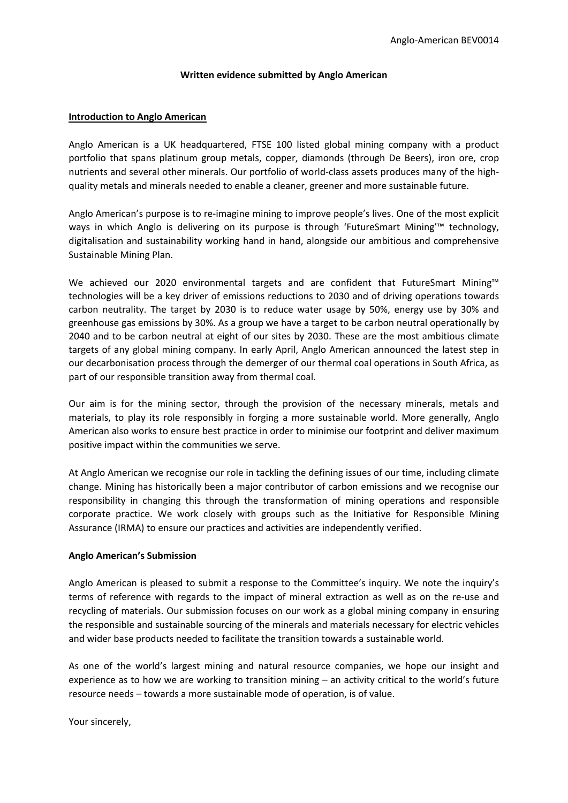#### **Written evidence submitted by Anglo American**

### **Introduction to Anglo American**

Anglo American is a UK headquartered, FTSE 100 listed global mining company with a product portfolio that spans platinum group metals, copper, diamonds (through De Beers), iron ore, crop nutrients and several other minerals. Our portfolio of world-class assets produces many of the highquality metals and minerals needed to enable a cleaner, greener and more sustainable future.

Anglo American's purpose is to re-imagine mining to improve people's lives. One of the most explicit ways in which Anglo is delivering on its purpose is through 'FutureSmart Mining'™ technology, digitalisation and sustainability working hand in hand, alongside our ambitious and comprehensive Sustainable Mining Plan.

We achieved our 2020 environmental targets and are confident that FutureSmart Mining™ technologies will be a key driver of emissions reductions to 2030 and of driving operations towards carbon neutrality. The target by 2030 is to reduce water usage by 50%, energy use by 30% and greenhouse gas emissions by 30%. As a group we have a target to be carbon neutral operationally by 2040 and to be carbon neutral at eight of our sites by 2030. These are the most ambitious climate targets of any global mining company. In early April, Anglo American announced the latest step in our decarbonisation process through the demerger of our thermal coal operations in South Africa, as part of our responsible transition away from thermal coal.

Our aim is for the mining sector, through the provision of the necessary minerals, metals and materials, to play its role responsibly in forging a more sustainable world. More generally, Anglo American also works to ensure best practice in order to minimise our footprint and deliver maximum positive impact within the communities we serve.

At Anglo American we recognise our role in tackling the defining issues of our time, including climate change. Mining has historically been a major contributor of carbon emissions and we recognise our responsibility in changing this through the transformation of mining operations and responsible corporate practice. We work closely with groups such as the Initiative for Responsible Mining Assurance (IRMA) to ensure our practices and activities are independently verified.

# **Anglo American's Submission**

Anglo American is pleased to submit a response to the Committee's inquiry. We note the inquiry's terms of reference with regards to the impact of mineral extraction as well as on the re-use and recycling of materials. Our submission focuses on our work as a global mining company in ensuring the responsible and sustainable sourcing of the minerals and materials necessary for electric vehicles and wider base products needed to facilitate the transition towards a sustainable world.

As one of the world's largest mining and natural resource companies, we hope our insight and experience as to how we are working to transition mining – an activity critical to the world's future resource needs – towards a more sustainable mode of operation, is of value.

Your sincerely,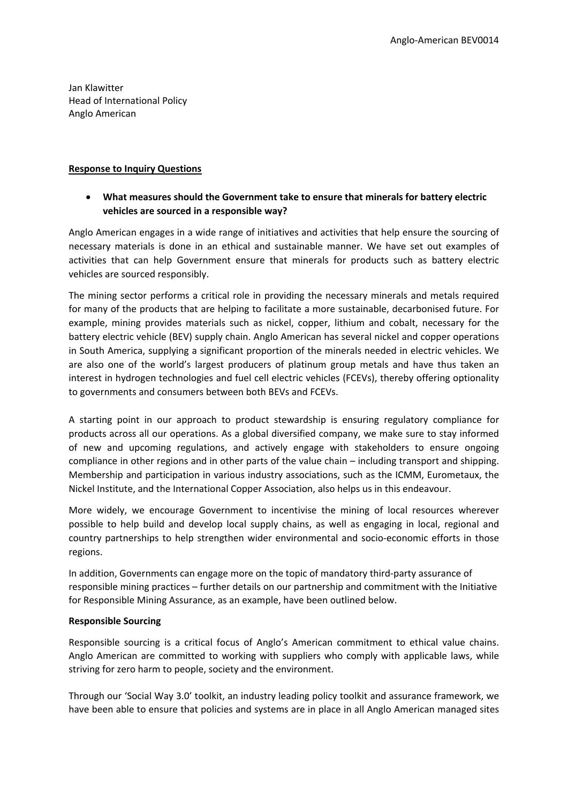Jan Klawitter Head of International Policy Anglo American

### **Response to Inquiry Questions**

 **What measures should the Government take to ensure that minerals for battery electric vehicles are sourced in a responsible way?**

Anglo American engages in a wide range of initiatives and activities that help ensure the sourcing of necessary materials is done in an ethical and sustainable manner. We have set out examples of activities that can help Government ensure that minerals for products such as battery electric vehicles are sourced responsibly.

The mining sector performs a critical role in providing the necessary minerals and metals required for many of the products that are helping to facilitate a more sustainable, decarbonised future. For example, mining provides materials such as nickel, copper, lithium and cobalt, necessary for the battery electric vehicle (BEV) supply chain. Anglo American has several nickel and copper operations in South America, supplying a significant proportion of the minerals needed in electric vehicles. We are also one of the world's largest producers of platinum group metals and have thus taken an interest in hydrogen technologies and fuel cell electric vehicles (FCEVs), thereby offering optionality to governments and consumers between both BEVs and FCEVs.

A starting point in our approach to product stewardship is ensuring regulatory compliance for products across all our operations. As a global diversified company, we make sure to stay informed of new and upcoming regulations, and actively engage with stakeholders to ensure ongoing compliance in other regions and in other parts of the value chain – including transport and shipping. Membership and participation in various industry associations, such as the ICMM, Eurometaux, the Nickel Institute, and the International Copper Association, also helps us in this endeavour.

More widely, we encourage Government to incentivise the mining of local resources wherever possible to help build and develop local supply chains, as well as engaging in local, regional and country partnerships to help strengthen wider environmental and socio-economic efforts in those regions.

In addition, Governments can engage more on the topic of mandatory third-party assurance of responsible mining practices – further details on our partnership and commitment with the Initiative for Responsible Mining Assurance, as an example, have been outlined below.

# **Responsible Sourcing**

Responsible sourcing is a critical focus of Anglo's American commitment to ethical value chains. Anglo American are committed to working with suppliers who comply with applicable laws, while striving for zero harm to people, society and the environment.

Through our 'Social Way 3.0' toolkit, an industry leading policy toolkit and assurance framework, we have been able to ensure that policies and systems are in place in all Anglo American managed sites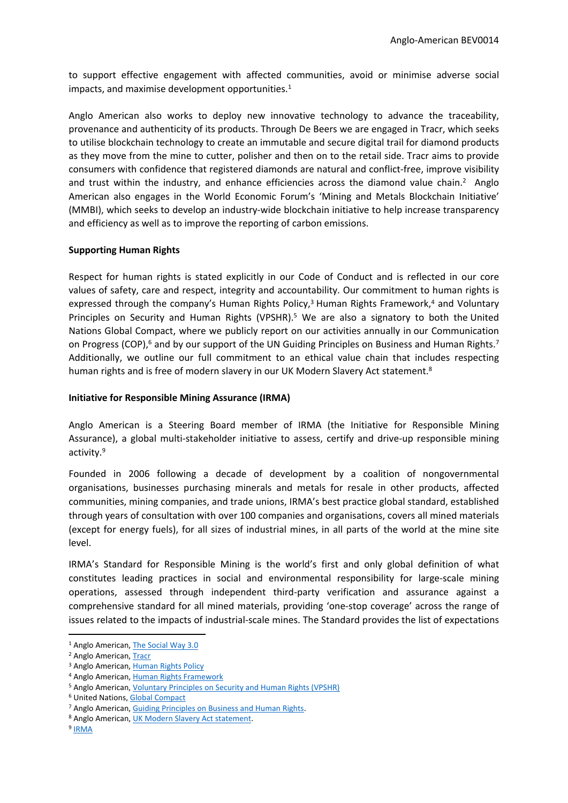to support effective engagement with affected communities, avoid or minimise adverse social impacts, and maximise development opportunities.<sup>1</sup>

Anglo American also works to deploy new innovative technology to advance the traceability, provenance and authenticity of its products. Through De Beers we are engaged in Tracr, which seeks to utilise blockchain technology to create an immutable and secure digital trail for diamond products as they move from the mine to cutter, polisher and then on to the retail side. Tracr aims to provide consumers with confidence that registered diamonds are natural and conflict-free, improve visibility and trust within the industry, and enhance efficiencies across the diamond value chain.<sup>2</sup> Anglo American also engages in the World Economic Forum's 'Mining and Metals Blockchain Initiative' (MMBI), which seeks to develop an industry-wide blockchain initiative to help increase transparency and efficiency as well as to improve the reporting of carbon emissions.

# **Supporting Human Rights**

Respect for human rights is stated explicitly in our Code of Conduct and is reflected in our core values of safety, care and respect, integrity and accountability. Our commitment to human rights is expressed through the company's Human Rights Policy,<sup>3</sup> Human Rights Framework,<sup>4</sup> and Voluntary Principles on Security and Human Rights (VPSHR).<sup>5</sup> We are also a signatory to both the United Nations Global Compact, where we publicly report on our activities annually in our Communication on Progress (COP),<sup>6</sup> and by our support of the UN Guiding Principles on Business and Human Rights.<sup>7</sup> Additionally, we outline our full commitment to an ethical value chain that includes respecting human rights and is free of modern slavery in our UK Modern Slavery Act statement.<sup>8</sup>

### **Initiative for Responsible Mining Assurance (IRMA)**

Anglo American is a Steering Board member of IRMA (the Initiative for Responsible Mining Assurance), a global multi-stakeholder initiative to assess, certify and drive-up responsible mining activity.<sup>9</sup>

Founded in 2006 following a decade of development by a coalition of nongovernmental organisations, businesses purchasing minerals and metals for resale in other products, affected communities, mining companies, and trade unions, IRMA's best practice global standard, established through years of consultation with over 100 companies and organisations, covers all mined materials (except for energy fuels), for all sizes of industrial mines, in all parts of the world at the mine site level.

IRMA's Standard for Responsible Mining is the world's first and only global definition of what constitutes leading practices in social and environmental responsibility for large-scale mining operations, assessed through independent third-party verification and assurance against a comprehensive standard for all mined materials, providing 'one-stop coverage' across the range of issues related to the impacts of industrial-scale mines. The Standard provides the list of expectations

<sup>&</sup>lt;sup>1</sup> Anglo American, [The](https://socialway.angloamerican.com/en/about) [Social](https://socialway.angloamerican.com/en/about) [Way](https://socialway.angloamerican.com/en/about) [3.0](https://socialway.angloamerican.com/en/about)

<sup>2</sup> Anglo American, [Tracr](https://www.angloamerican.com/futuresmart/stories/our-industry/technology/de-beers-group-successfully-tracks-first-diamonds-from-mine-to-retail-on-industry-blockchain)

<sup>3</sup> Anglo American, [Human](https://www.angloamerican.com/~/media/Files/A/Anglo-American-Group/PLC/sustainability/approach-and-policies/hr-policy-document-english.pdf) [Rights](https://www.angloamerican.com/~/media/Files/A/Anglo-American-Group/PLC/sustainability/approach-and-policies/hr-policy-document-english.pdf) [Policy](https://www.angloamerican.com/~/media/Files/A/Anglo-American-Group/PLC/sustainability/approach-and-policies/hr-policy-document-english.pdf)

<sup>4</sup> Anglo American, [Human](https://www.angloamerican.com/~/media/Images/A/Anglo-American-Group/PLC/sustainability/approach-and-policies/framework.jpg) [Rights](https://www.angloamerican.com/~/media/Images/A/Anglo-American-Group/PLC/sustainability/approach-and-policies/framework.jpg) [Framework](https://www.angloamerican.com/~/media/Images/A/Anglo-American-Group/PLC/sustainability/approach-and-policies/framework.jpg)

<sup>5</sup> Anglo American, [Voluntary](https://www.angloamerican.com/~/media/Files/A/Anglo-American-Group/PLC/sustainability/approach-and-policies/social/vpshr-2020.pdf) [Principles](https://www.angloamerican.com/~/media/Files/A/Anglo-American-Group/PLC/sustainability/approach-and-policies/social/vpshr-2020.pdf) [on](https://www.angloamerican.com/~/media/Files/A/Anglo-American-Group/PLC/sustainability/approach-and-policies/social/vpshr-2020.pdf) [Security](https://www.angloamerican.com/~/media/Files/A/Anglo-American-Group/PLC/sustainability/approach-and-policies/social/vpshr-2020.pdf) [and](https://www.angloamerican.com/~/media/Files/A/Anglo-American-Group/PLC/sustainability/approach-and-policies/social/vpshr-2020.pdf) [Human](https://www.angloamerican.com/~/media/Files/A/Anglo-American-Group/PLC/sustainability/approach-and-policies/social/vpshr-2020.pdf) [Rights](https://www.angloamerican.com/~/media/Files/A/Anglo-American-Group/PLC/sustainability/approach-and-policies/social/vpshr-2020.pdf) [\(VPSHR\)](https://www.angloamerican.com/~/media/Files/A/Anglo-American-Group/PLC/sustainability/approach-and-policies/social/vpshr-2020.pdf)

<sup>6</sup> United Nations, [Global](https://www.unglobalcompact.org/what-is-gc/participants/643-Anglo-American-plc) [Compact](https://www.unglobalcompact.org/what-is-gc/participants/643-Anglo-American-plc)

<sup>7</sup> Anglo American, [Guiding](https://www.angloamerican.com/~/media/Files/A/Anglo-American-Group/PLC/sustainability/approach-and-policies/guiding-principles-business-hr-en.pdf) [Principles](https://www.angloamerican.com/~/media/Files/A/Anglo-American-Group/PLC/sustainability/approach-and-policies/guiding-principles-business-hr-en.pdf) [on](https://www.angloamerican.com/~/media/Files/A/Anglo-American-Group/PLC/sustainability/approach-and-policies/guiding-principles-business-hr-en.pdf) [Business](https://www.angloamerican.com/~/media/Files/A/Anglo-American-Group/PLC/sustainability/approach-and-policies/guiding-principles-business-hr-en.pdf) [and](https://www.angloamerican.com/~/media/Files/A/Anglo-American-Group/PLC/sustainability/approach-and-policies/guiding-principles-business-hr-en.pdf) [Human](https://www.angloamerican.com/~/media/Files/A/Anglo-American-Group/PLC/sustainability/approach-and-policies/guiding-principles-business-hr-en.pdf) [Rights.](https://www.angloamerican.com/~/media/Files/A/Anglo-American-Group/PLC/sustainability/approach-and-policies/guiding-principles-business-hr-en.pdf)

<sup>8</sup> Anglo American, [UK](https://www.angloamerican.com/~/media/Files/A/Anglo-American-Group/PLC/documents/anglo-american-modern-slavery-act-report-2019.pdf) [Modern](https://www.angloamerican.com/~/media/Files/A/Anglo-American-Group/PLC/documents/anglo-american-modern-slavery-act-report-2019.pdf) [Slavery](https://www.angloamerican.com/~/media/Files/A/Anglo-American-Group/PLC/documents/anglo-american-modern-slavery-act-report-2019.pdf) [Act](https://www.angloamerican.com/~/media/Files/A/Anglo-American-Group/PLC/documents/anglo-american-modern-slavery-act-report-2019.pdf) [statement](https://www.angloamerican.com/~/media/Files/A/Anglo-American-Group/PLC/documents/anglo-american-modern-slavery-act-report-2019.pdf).

<sup>&</sup>lt;sup>9</sup> [IRMA](https://responsiblemining.net/)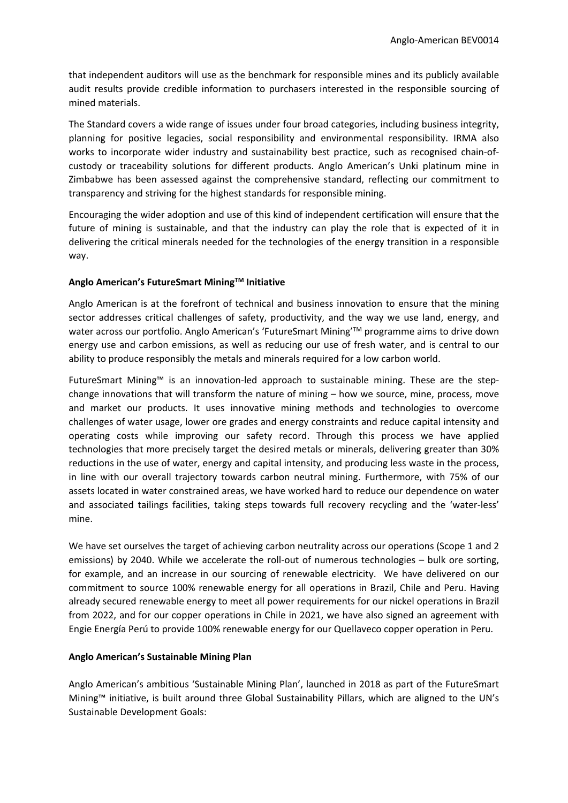that independent auditors will use as the benchmark for responsible mines and its publicly available audit results provide credible information to purchasers interested in the responsible sourcing of mined materials.

The Standard covers a wide range of issues under four broad categories, including business integrity, planning for positive legacies, social responsibility and environmental responsibility. IRMA also works to incorporate wider industry and sustainability best practice, such as recognised chain-ofcustody or traceability solutions for different products. Anglo American's Unki platinum mine in Zimbabwe has been assessed against the comprehensive standard, reflecting our commitment to transparency and striving for the highest standards for responsible mining.

Encouraging the wider adoption and use of this kind of independent certification will ensure that the future of mining is sustainable, and that the industry can play the role that is expected of it in delivering the critical minerals needed for the technologies of the energy transition in a responsible way.

# **Anglo American's FutureSmart MiningTM Initiative**

Anglo American is at the forefront of technical and business innovation to ensure that the mining sector addresses critical challenges of safety, productivity, and the way we use land, energy, and water across our portfolio. Anglo American's 'FutureSmart Mining'TM programme aims to drive down energy use and carbon emissions, as well as reducing our use of fresh water, and is central to our ability to produce responsibly the metals and minerals required for a low carbon world.

FutureSmart Mining™ is an innovation-led approach to sustainable mining. These are the stepchange innovations that will transform the nature of mining – how we source, mine, process, move and market our products. It uses innovative mining methods and technologies to overcome challenges of water usage, lower ore grades and energy constraints and reduce capital intensity and operating costs while improving our safety record. Through this process we have applied technologies that more precisely target the desired metals or minerals, delivering greater than 30% reductions in the use of water, energy and capital intensity, and producing less waste in the process, in line with our overall trajectory towards carbon neutral mining. Furthermore, with 75% of our assets located in water constrained areas, we have worked hard to reduce our dependence on water and associated tailings facilities, taking steps towards full recovery recycling and the 'water-less' mine.

We have set ourselves the target of achieving carbon neutrality across our operations (Scope 1 and 2 emissions) by 2040. While we accelerate the roll-out of numerous technologies – bulk ore sorting, for example, and an increase in our sourcing of renewable electricity. We have delivered on our commitment to source 100% renewable energy for all operations in Brazil, Chile and Peru. Having already secured renewable energy to meet all power requirements for our nickel operations in Brazil from 2022, and for our copper operations in Chile in 2021, we have also signed an agreement with Engie Energía Perú to provide 100% renewable energy for our Quellaveco copper operation in Peru.

# **Anglo American's Sustainable Mining Plan**

Anglo American's ambitious 'Sustainable Mining Plan', launched in 2018 as part of the FutureSmart Mining™ initiative, is built around three Global Sustainability Pillars, which are aligned to the UN's Sustainable Development Goals: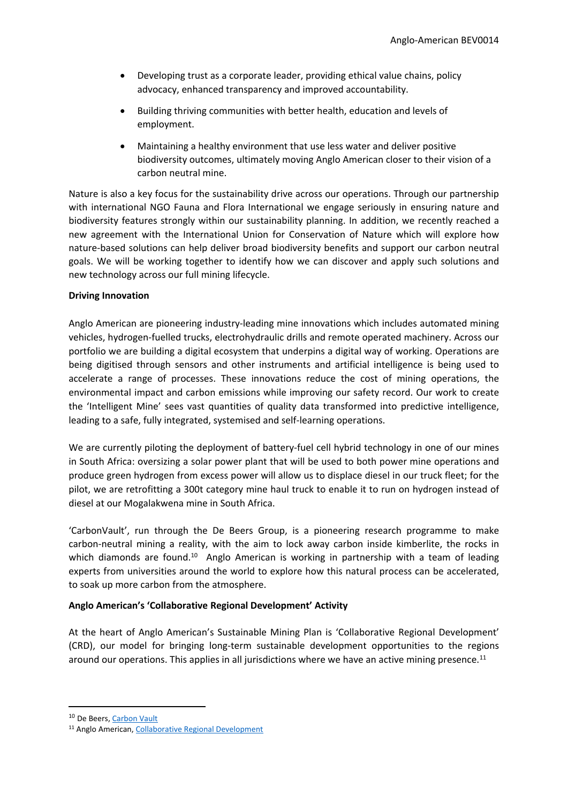- Developing trust as a corporate leader, providing ethical value chains, policy advocacy, enhanced transparency and improved accountability.
- Building thriving communities with better health, education and levels of employment.
- Maintaining a healthy environment that use less water and deliver positive biodiversity outcomes, ultimately moving Anglo American closer to their vision of a carbon neutral mine.

Nature is also a key focus for the sustainability drive across our operations. Through our partnership with international NGO Fauna and Flora International we engage seriously in ensuring nature and biodiversity features strongly within our sustainability planning. In addition, we recently reached a new agreement with the International Union for Conservation of Nature which will explore how nature-based solutions can help deliver broad biodiversity benefits and support our carbon neutral goals. We will be working together to identify how we can discover and apply such solutions and new technology across our full mining lifecycle.

# **Driving Innovation**

Anglo American are pioneering industry-leading mine innovations which includes automated mining vehicles, hydrogen-fuelled trucks, electrohydraulic drills and remote operated machinery. Across our portfolio we are building a digital ecosystem that underpins a digital way of working. Operations are being digitised through sensors and other instruments and artificial intelligence is being used to accelerate a range of processes. These innovations reduce the cost of mining operations, the environmental impact and carbon emissions while improving our safety record. Our work to create the 'Intelligent Mine' sees vast quantities of quality data transformed into predictive intelligence, leading to a safe, fully integrated, systemised and self-learning operations.

We are currently piloting the deployment of battery-fuel cell hybrid technology in one of our mines in South Africa: oversizing a solar power plant that will be used to both power mine operations and produce green hydrogen from excess power will allow us to displace diesel in our truck fleet; for the pilot, we are retrofitting a 300t category mine haul truck to enable it to run on hydrogen instead of diesel at our Mogalakwena mine in South Africa.

'CarbonVault', run through the De Beers Group, is a pioneering research programme to make carbon-neutral mining a reality, with the aim to lock away carbon inside kimberlite, the rocks in which diamonds are found.<sup>10</sup> Anglo American is working in partnership with a team of leading experts from universities around the world to explore how this natural process can be accelerated, to soak up more carbon from the atmosphere.

# **Anglo American's 'Collaborative Regional Development' Activity**

At the heart of Anglo American's Sustainable Mining Plan is 'Collaborative Regional Development' (CRD), our model for bringing long-term sustainable development opportunities to the regions around our operations. This applies in all jurisdictions where we have an active mining presence.<sup>11</sup>

<sup>&</sup>lt;sup>10</sup> De Beers, [Carbon](https://www.debeersgroup.com/sustainability-and-ethics/protecting-the-natural-world/carbon-vault) [Vault](https://www.debeersgroup.com/sustainability-and-ethics/protecting-the-natural-world/carbon-vault)

<sup>11</sup> Anglo American, [Collaborative](https://www.angloamerican.com/sustainability/collaborative-regional-development) [Regional](https://www.angloamerican.com/sustainability/collaborative-regional-development) [Development](https://www.angloamerican.com/sustainability/collaborative-regional-development)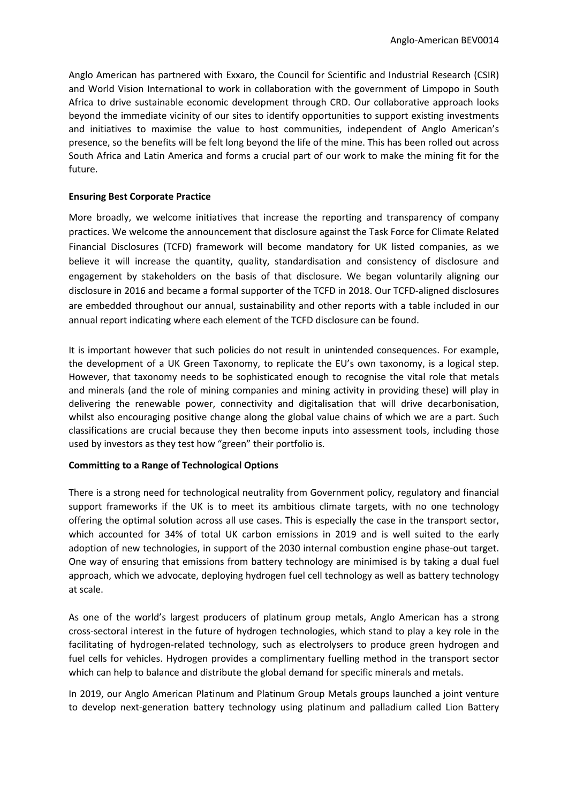Anglo American has partnered with Exxaro, the Council for Scientific and Industrial Research (CSIR) and World Vision International to work in collaboration with the government of Limpopo in South Africa to drive sustainable economic development through CRD. Our collaborative approach looks beyond the immediate vicinity of our sites to identify opportunities to support existing investments and initiatives to maximise the value to host communities, independent of Anglo American's presence, so the benefits will be felt long beyond the life of the mine. This has been rolled out across South Africa and Latin America and forms a crucial part of our work to make the mining fit for the future.

# **Ensuring Best Corporate Practice**

More broadly, we welcome initiatives that increase the reporting and transparency of company practices. We welcome the announcement that disclosure against the Task Force for Climate Related Financial Disclosures (TCFD) framework will become mandatory for UK listed companies, as we believe it will increase the quantity, quality, standardisation and consistency of disclosure and engagement by stakeholders on the basis of that disclosure. We began voluntarily aligning our disclosure in 2016 and became a formal supporter of the TCFD in 2018. Our TCFD-aligned disclosures are embedded throughout our annual, sustainability and other reports with a table included in our annual report indicating where each element of the TCFD disclosure can be found.

It is important however that such policies do not result in unintended consequences. For example, the development of a UK Green Taxonomy, to replicate the EU's own taxonomy, is a logical step. However, that taxonomy needs to be sophisticated enough to recognise the vital role that metals and minerals (and the role of mining companies and mining activity in providing these) will play in delivering the renewable power, connectivity and digitalisation that will drive decarbonisation, whilst also encouraging positive change along the global value chains of which we are a part. Such classifications are crucial because they then become inputs into assessment tools, including those used by investors as they test how "green" their portfolio is.

# **Committing to a Range of Technological Options**

There is a strong need for technological neutrality from Government policy, regulatory and financial support frameworks if the UK is to meet its ambitious climate targets, with no one technology offering the optimal solution across all use cases. This is especially the case in the transport sector, which accounted for 34% of total UK carbon emissions in 2019 and is well suited to the early adoption of new technologies, in support of the 2030 internal combustion engine phase-out target. One way of ensuring that emissions from battery technology are minimised is by taking a dual fuel approach, which we advocate, deploying hydrogen fuel cell technology as well as battery technology at scale.

As one of the world's largest producers of platinum group metals, Anglo American has a strong cross-sectoral interest in the future of hydrogen technologies, which stand to play a key role in the facilitating of hydrogen-related technology, such as electrolysers to produce green hydrogen and fuel cells for vehicles. Hydrogen provides a complimentary fuelling method in the transport sector which can help to balance and distribute the global demand for specific minerals and metals.

In 2019, our Anglo American Platinum and Platinum Group Metals groups launched a joint venture to develop next-generation battery technology using platinum and palladium called Lion Battery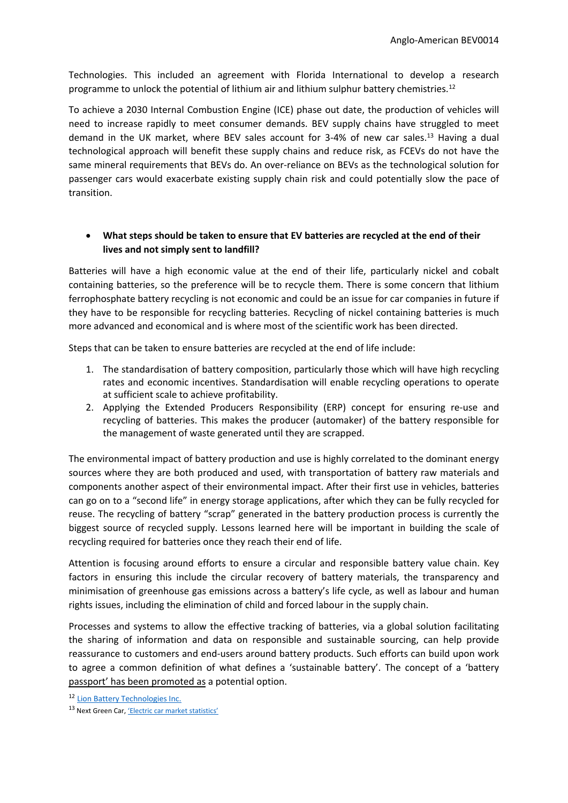Technologies. This included an agreement with Florida International to develop a research programme to unlock the potential of lithium air and lithium sulphur battery chemistries.<sup>12</sup>

To achieve a 2030 Internal Combustion Engine (ICE) phase out date, the production of vehicles will need to increase rapidly to meet consumer demands. BEV supply chains have struggled to meet demand in the UK market, where BEV sales account for 3-4% of new car sales.<sup>13</sup> Having a dual technological approach will benefit these supply chains and reduce risk, as FCEVs do not have the same mineral requirements that BEVs do. An over-reliance on BEVs as the technological solution for passenger cars would exacerbate existing supply chain risk and could potentially slow the pace of transition.

# **What steps should be taken to ensure that EV batteries are recycled at the end of their lives and not simply sent to landfill?**

Batteries will have a high economic value at the end of their life, particularly nickel and cobalt containing batteries, so the preference will be to recycle them. There is some concern that lithium ferrophosphate battery recycling is not economic and could be an issue for car companies in future if they have to be responsible for recycling batteries. Recycling of nickel containing batteries is much more advanced and economical and is where most of the scientific work has been directed.

Steps that can be taken to ensure batteries are recycled at the end of life include:

- 1. The standardisation of battery composition, particularly those which will have high recycling rates and economic incentives. Standardisation will enable recycling operations to operate at sufficient scale to achieve profitability.
- 2. Applying the Extended Producers Responsibility (ERP) concept for ensuring re-use and recycling of batteries. This makes the producer (automaker) of the battery responsible for the management of waste generated until they are scrapped.

The environmental impact of battery production and use is highly correlated to the dominant energy sources where they are both produced and used, with transportation of battery raw materials and components another aspect of their environmental impact. After their first use in vehicles, batteries can go on to a "second life" in energy storage applications, after which they can be fully recycled for reuse. The recycling of battery "scrap" generated in the battery production process is currently the biggest source of recycled supply. Lessons learned here will be important in building the scale of recycling required for batteries once they reach their end of life.

Attention is focusing around efforts to ensure a circular and responsible battery value chain. Key factors in ensuring this include the circular recovery of battery materials, the transparency and minimisation of greenhouse gas emissions across a battery's life cycle, as well as labour and human rights issues, including the elimination of child and forced labour in the supply chain.

Processes and systems to allow the effective tracking of batteries, via a global solution facilitating the sharing of information and data on responsible and sustainable sourcing, can help provide reassurance to customers and end-users around battery products. Such efforts can build upon work to agree a common definition of what defines a 'sustainable battery'. The concept of a 'battery passport' has been promoted as a potential option.

<sup>12</sup> [Lion](https://www.platinumgroupmetals.net/Lion-Battery/default.aspx) [Battery](https://www.platinumgroupmetals.net/Lion-Battery/default.aspx) [Technologies](https://www.platinumgroupmetals.net/Lion-Battery/default.aspx) [Inc.](https://www.platinumgroupmetals.net/Lion-Battery/default.aspx)

<sup>13</sup> Next Green Car, ['Electric](https://www.nextgreencar.com/electric-cars/) [car](https://www.nextgreencar.com/electric-cars/) [market](https://www.nextgreencar.com/electric-cars/) [statistics'](https://www.nextgreencar.com/electric-cars/)